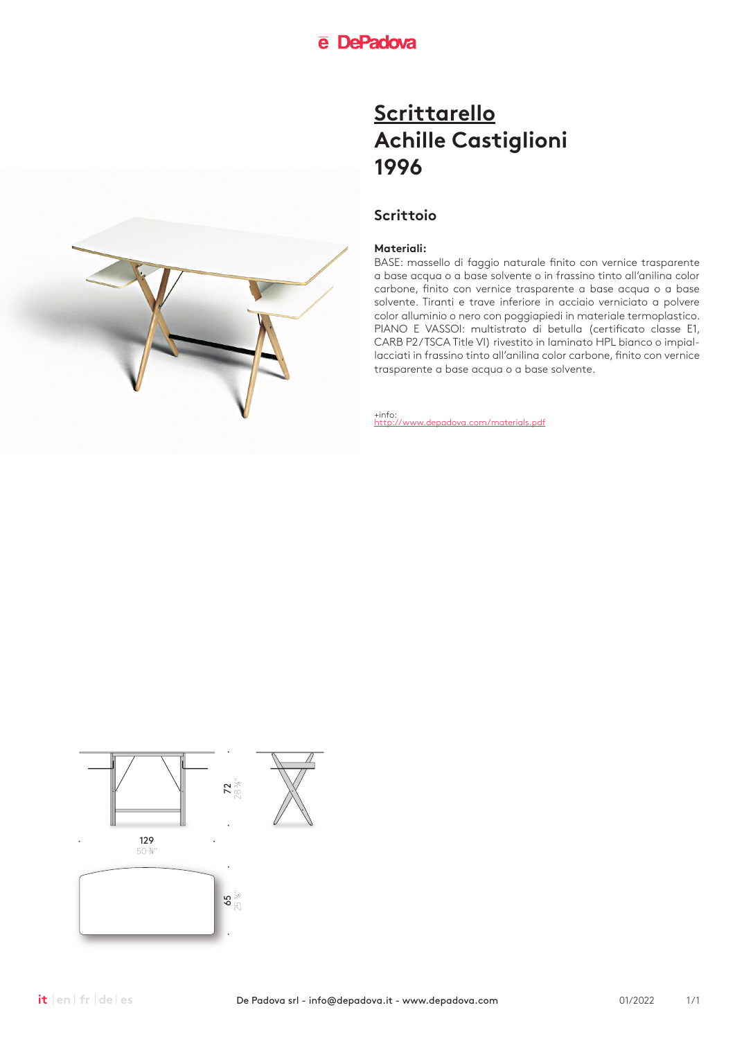### **Scrittoio**

#### **Materiali:**

BASE: massello di faggio naturale finito con vernice trasparente a base acqua o a base solvente o in frassino tinto all'anilina color carbone, finito con vernice trasparente a base acqua o a base solvente. Tiranti e trave inferiore in acciaio verniciato a polvere color alluminio o nero con poggiapiedi in materiale termoplastico. PIANO E VASSOI: multistrato di betulla (certificato classe E1, CARB P2/TSCA Title VI) rivestito in laminato HPL bianco o impiallacciati in frassino tinto all'anilina color carbone, finito con vernice trasparente a base acqua o a base solvente.



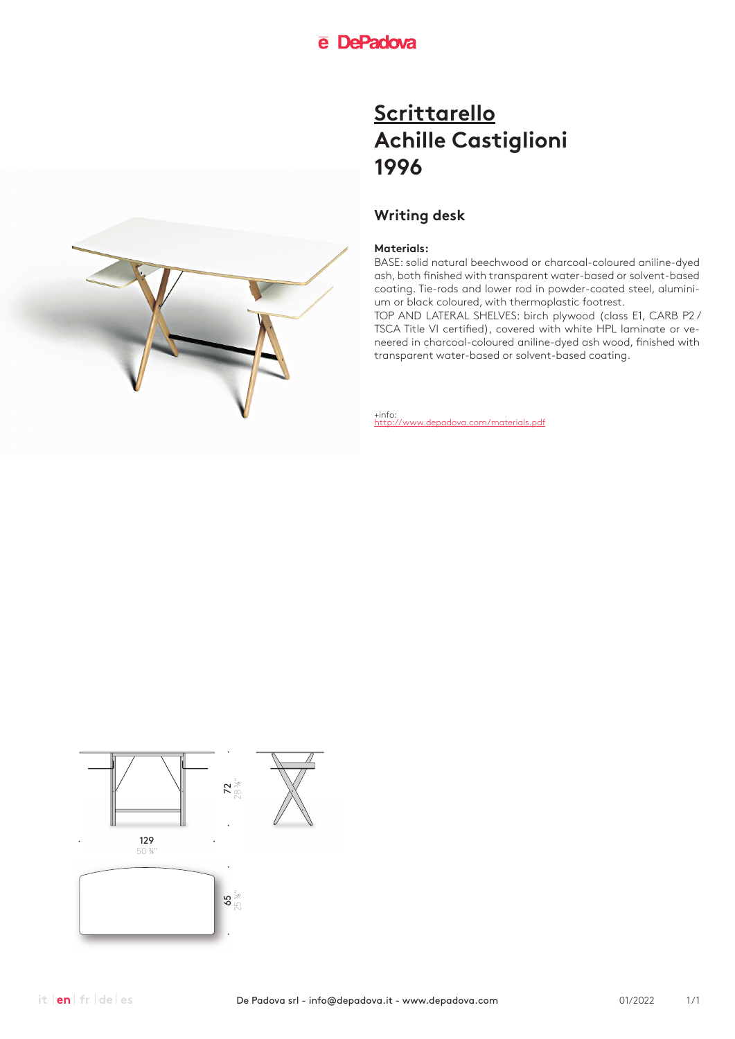## **Writing desk**

### **Materials:**

BASE: solid natural beechwood or charcoal-coloured aniline-dyed ash, both finished with transparent water-based or solvent-based coating. Tie-rods and lower rod in powder-coated steel, aluminium or black coloured, with thermoplastic footrest.

TOP AND LATERAL SHELVES: birch plywood (class E1, CARB P2 / TSCA Title VI certified), covered with white HPL laminate or veneered in charcoal-coloured aniline-dyed ash wood, finished with transparent water-based or solvent-based coating.



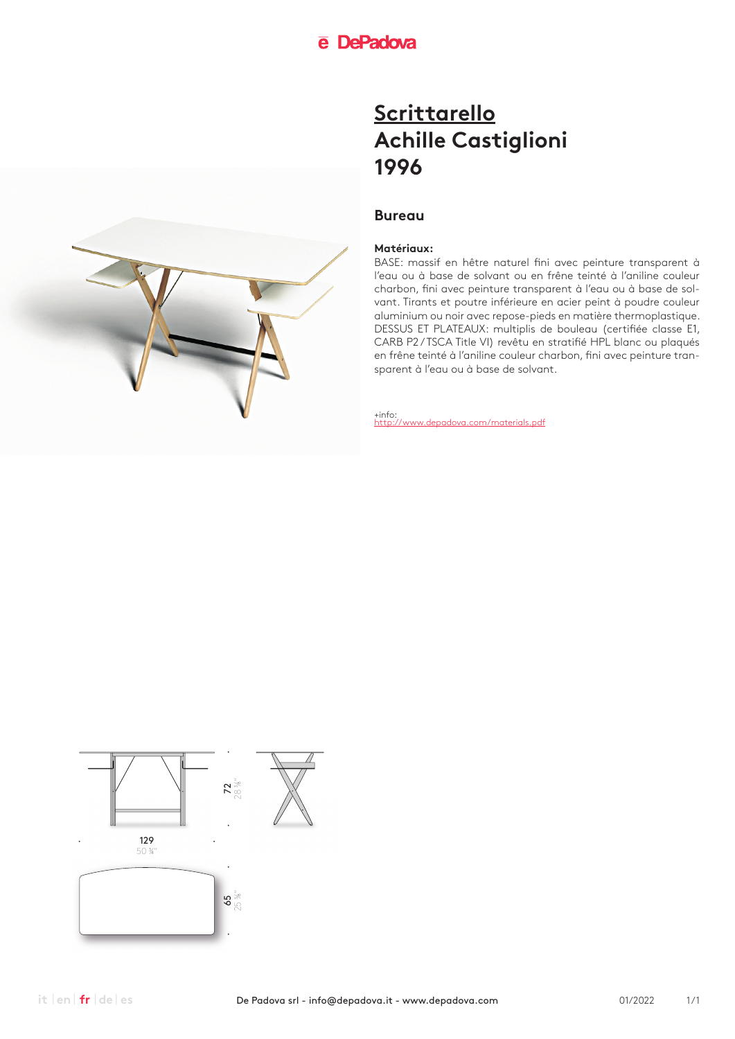### **Bureau**

#### **Matériaux:**

BASE: massif en hêtre naturel fini avec peinture transparent à l'eau ou à base de solvant ou en frêne teinté à l'aniline couleur charbon, fini avec peinture transparent à l'eau ou à base de solvant. Tirants et poutre inférieure en acier peint à poudre couleur aluminium ou noir avec repose-pieds en matière thermoplastique. DESSUS ET PLATEAUX: multiplis de bouleau (certifiée classe E1, CARB P2 / TSCA Title VI) revêtu en stratifié HPL blanc ou plaqués en frêne teinté à l'aniline couleur charbon, fini avec peinture transparent à l'eau ou à base de solvant.





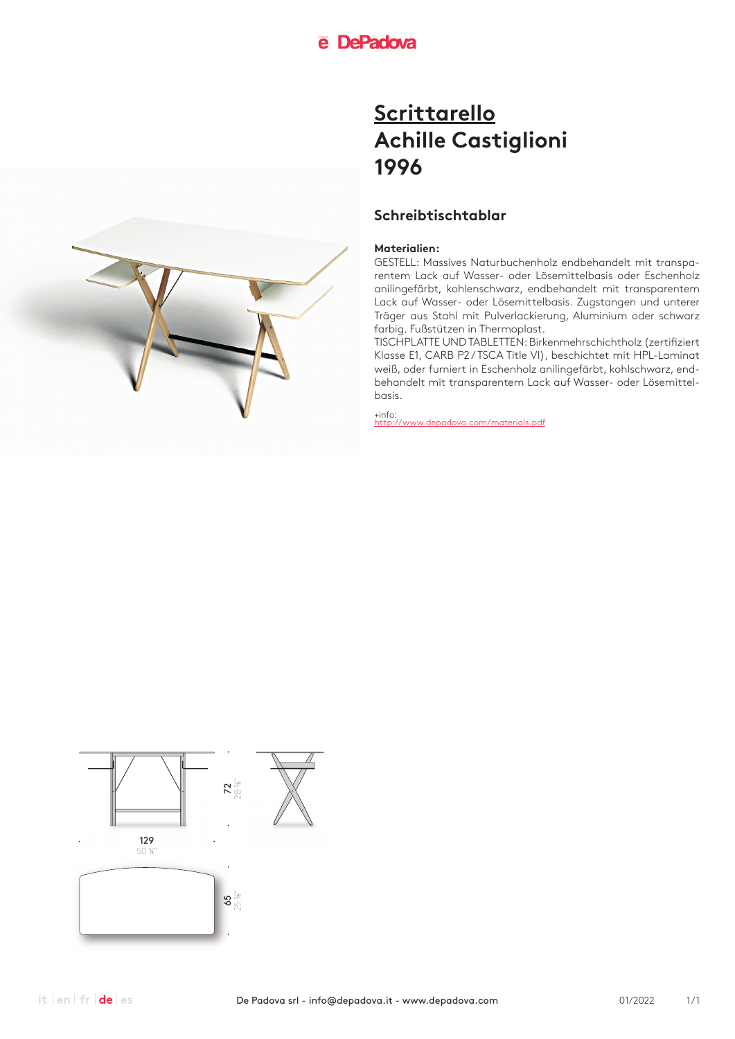## **Schreibtischtablar**

#### **Materialien:**

GESTELL: Massives Naturbuchenholz endbehandelt mit transparentem Lack auf Wasser- oder Lösemittelbasis oder Eschenholz anilingefärbt, kohlenschwarz, endbehandelt mit transparentem Lack auf Wasser- oder Lösemittelbasis. Zugstangen und unterer Träger aus Stahl mit Pulverlackierung, Aluminium oder schwarz farbig. Fußstützen in Thermoplast.

TISCHPLATTE UND TABLETTEN: Birkenmehrschichtholz (zertifiziert Klasse E1, CARB P2 / TSCA Title VI), beschichtet mit HPL-Laminat weiß, oder furniert in Eschenholz anilingefärbt, kohlschwarz, endbehandelt mit transparentem Lack auf Wasser- oder Lösemittelbasis.